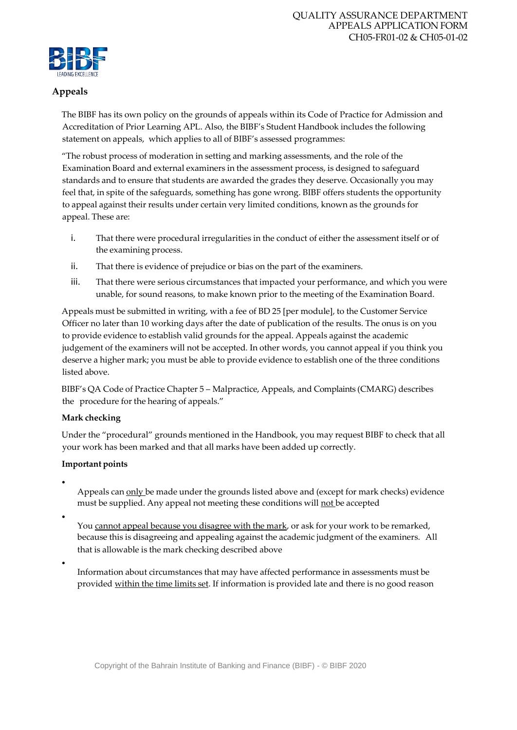

## **Appeals**

The BIBF has its own policy on the grounds of appeals within its Code of Practice for Admission and Accreditation of Prior Learning APL. Also, the BIBF's Student Handbook includes the following statement on appeals, which applies to all of BIBF's assessed programmes:

"The robust process of moderation in setting and marking assessments, and the role of the Examination Board and external examiners in the assessment process, is designed to safeguard standards and to ensure that students are awarded the grades they deserve. Occasionally you may feel that, in spite of the safeguards, something has gone wrong. BIBF offers students the opportunity to appeal against their results under certain very limited conditions, known as the grounds for appeal. These are:

- i. That there were procedural irregularities in the conduct of either the assessment itself or of the examining process.
- ii. That there is evidence of prejudice or bias on the part of the examiners.
- iii. That there were serious circumstances that impacted your performance, and which you were unable, for sound reasons, to make known prior to the meeting of the Examination Board.

Appeals must be submitted in writing, with a fee of BD 25 [per module], to the Customer Service Officer no later than 10 working days after the date of publication of the results. The onus is on you to provide evidence to establish valid grounds for the appeal. Appeals against the academic judgement of the examiners will not be accepted. In other words, you cannot appeal if you think you deserve a higher mark; you must be able to provide evidence to establish one of the three conditions listed above.

BIBF's QA Code of Practice Chapter 5 – Malpractice, Appeals, and Complaints (CMARG) describes the procedure for the hearing of appeals."

# **Mark checking**

Under the "procedural" grounds mentioned in the Handbook, you may request BIBF to check that all your work has been marked and that all marks have been added up correctly.

### **Important points**

•

Appeals can only be made under the grounds listed above and (except for mark checks) evidence must be supplied. Any appeal not meeting these conditions will not be accepted

•

You cannot appeal because you disagree with the mark, or ask for your work to be remarked, because this is disagreeing and appealing against the academic judgment of the examiners. All that is allowable is the mark checking described above

•

Information about circumstances that may have affected performance in assessments must be provided within the time limits set. If information is provided late and there is no good reason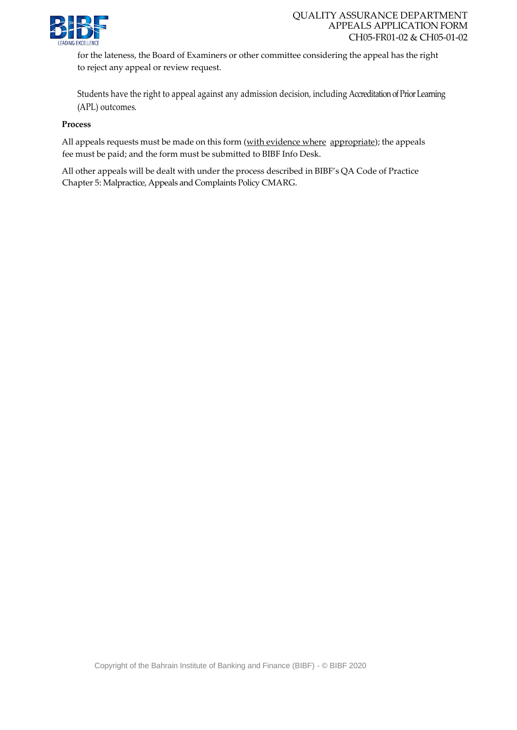

for the lateness, the Board of Examiners or other committee considering the appeal has the right to reject any appeal or review request.

Students have the right to appeal against any admission decision, including Accreditation of Prior Learning (APL) outcomes.

#### **Process**

All appeals requests must be made on this form (with evidence where appropriate); the appeals fee must be paid; and the form must be submitted to BIBF Info Desk.

All other appeals will be dealt with under the process described in BIBF's QA Code of Practice Chapter 5: Malpractice, Appeals and Complaints Policy CMARG.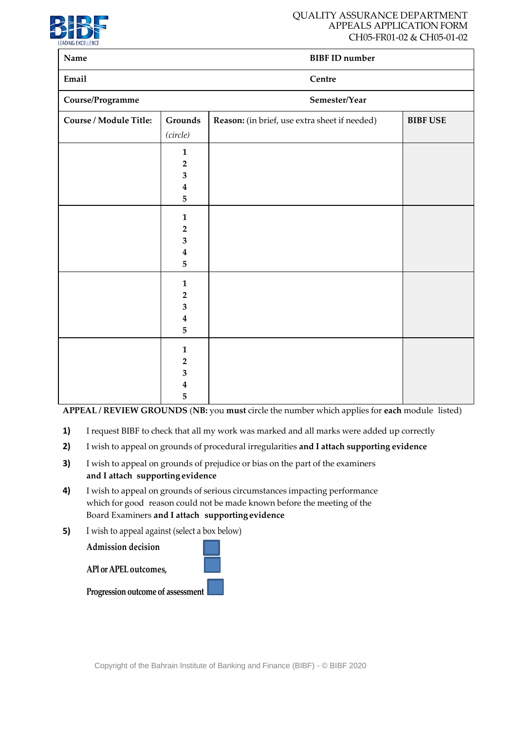

### QUALITY ASSURANCE DEPARTMENT APPEALS APPLICATION FORM CH05-FR01-02 & CH05-01-02

| Name                   |                                                                         | <b>BIBF ID number</b>                         |                 |
|------------------------|-------------------------------------------------------------------------|-----------------------------------------------|-----------------|
| Email                  |                                                                         | Centre                                        |                 |
| Course/Programme       |                                                                         | Semester/Year                                 |                 |
| Course / Module Title: | Grounds                                                                 | Reason: (in brief, use extra sheet if needed) | <b>BIBF USE</b> |
|                        | (circle)<br>$\mathbf{1}$<br>$\mathbf{2}$<br>3<br>$\boldsymbol{4}$       |                                               |                 |
|                        | 5<br>$\mathbf{1}$<br>$\mathbf{2}$                                       |                                               |                 |
|                        | $\mathbf{3}$<br>$\boldsymbol{4}$<br>5                                   |                                               |                 |
|                        | $\mathbf{1}$<br>$\overline{2}$<br>$\mathbf{3}$<br>$\boldsymbol{4}$<br>5 |                                               |                 |
|                        | $\mathbf{1}$<br>$\overline{2}$<br>$\mathbf{3}$<br>$\boldsymbol{4}$<br>5 |                                               |                 |

**APPEAL / REVIEW GROUNDS** (**NB:** you **must** circle the number which applies for **each** module listed)

- **1)** I request BIBF to check that all my work was marked and all marks were added up correctly
- **2)** I wish to appeal on grounds of procedural irregularities **and I attach supporting evidence**
- **3)** I wish to appeal on grounds of prejudice or bias on the part of the examiners **and I attach supporting evidence**
- **4)** I wish to appeal on grounds of serious circumstances impacting performance which for good reason could not be made known before the meeting of the Board Examiners **and I attach supporting evidence**
- **5)** I wish to appeal against (select a box below)



Copyright of the Bahrain Institute of Banking and Finance (BIBF) - © BIBF 2020